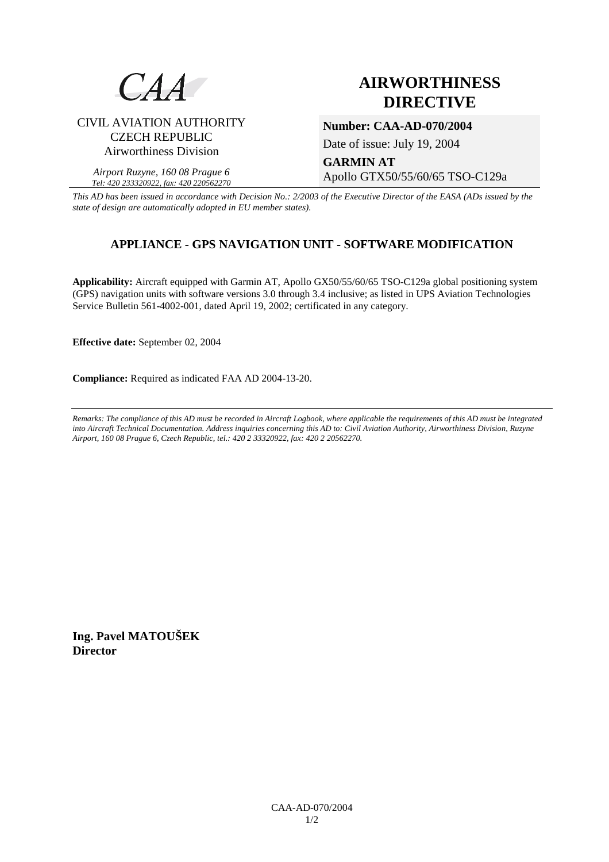

# CIVIL AVIATION AUTHORITY CZECH REPUBLIC Airworthiness Division

*Airport Ruzyne, 160 08 Prague 6 Tel: 420 233320922, fax: 420 220562270*

# **AIRWORTHINESS DIRECTIVE**

**Number: CAA-AD-070/2004** 

Date of issue: July 19, 2004

**GARMIN AT**  Apollo GTX50/55/60/65 TSO-C129a

*This AD has been issued in accordance with Decision No.: 2/2003 of the Executive Director of the EASA (ADs issued by the state of design are automatically adopted in EU member states).*

# **APPLIANCE - GPS NAVIGATION UNIT - SOFTWARE MODIFICATION**

**Applicability:** Aircraft equipped with Garmin AT, Apollo GX50/55/60/65 TSO-C129a global positioning system (GPS) navigation units with software versions 3.0 through 3.4 inclusive; as listed in UPS Aviation Technologies Service Bulletin 561-4002-001, dated April 19, 2002; certificated in any category.

**Effective date:** September 02, 2004

**Compliance:** Required as indicated FAA AD 2004-13-20.

*Remarks: The compliance of this AD must be recorded in Aircraft Logbook, where applicable the requirements of this AD must be integrated into Aircraft Technical Documentation. Address inquiries concerning this AD to: Civil Aviation Authority, Airworthiness Division, Ruzyne Airport, 160 08 Prague 6, Czech Republic, tel.: 420 2 33320922, fax: 420 2 20562270.* 

**Ing. Pavel MATOUŠEK Director**